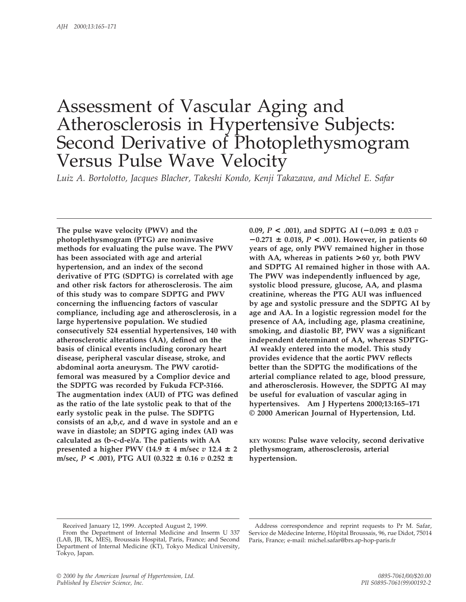# Assessment of Vascular Aging and Atherosclerosis in Hypertensive Subjects: Second Derivative of Photoplethysmogram Versus Pulse Wave Velocity

*Luiz A. Bortolotto, Jacques Blacher, Takeshi Kondo, Kenji Takazawa, and Michel E. Safar*

**The pulse wave velocity (PWV) and the photoplethysmogram (PTG) are noninvasive methods for evaluating the pulse wave. The PWV has been associated with age and arterial hypertension, and an index of the second derivative of PTG (SDPTG) is correlated with age and other risk factors for atherosclerosis. The aim of this study was to compare SDPTG and PWV concerning the influencing factors of vascular compliance, including age and atherosclerosis, in a large hypertensive population. We studied consecutively 524 essential hypertensives, 140 with atherosclerotic alterations (AA), defined on the basis of clinical events including coronary heart disease, peripheral vascular disease, stroke, and abdominal aorta aneurysm. The PWV carotidfemoral was measured by a Complior device and the SDPTG was recorded by Fukuda FCP-3166. The augmentation index (AUI) of PTG was defined as the ratio of the late systolic peak to that of the early systolic peak in the pulse. The SDPTG consists of an a,b,c, and d wave in systole and an e wave in diastole; an SDPTG aging index (AI) was calculated as (b-c-d-e)/a. The patients with AA presented a higher PWV (14.9**  $\pm$  **4 m/sec**  $v$  12.4  $\pm$  2  $m/sec, P < .001$ , PTG AUI (0.322  $\pm$  0.16 *v* 0.252  $\pm$ 

 $(0.09, P \le 0.001)$ , and SDPTG AI  $(-0.093 \pm 0.03 \, v)$  $-0.271 \pm 0.018$ ,  $P < .001$ ). However, in patients 60 **years of age, only PWV remained higher in those with AA, whereas in patients >60 yr, both PWV and SDPTG AI remained higher in those with AA. The PWV was independently influenced by age, systolic blood pressure, glucose, AA, and plasma creatinine, whereas the PTG AUI was influenced by age and systolic pressure and the SDPTG AI by age and AA. In a logistic regression model for the presence of AA, including age, plasma creatinine, smoking, and diastolic BP, PWV was a significant independent determinant of AA, whereas SDPTG-AI weakly entered into the model. This study provides evidence that the aortic PWV reflects better than the SDPTG the modifications of the arterial compliance related to age, blood pressure, and atherosclerosis. However, the SDPTG AI may be useful for evaluation of vascular aging in hypertensives. Am J Hypertens 2000;13:165–171 © 2000 American Journal of Hypertension, Ltd.**

**KEY WORDS: Pulse wave velocity, second derivative plethysmogram, atherosclerosis, arterial hypertension.**

Received January 12, 1999. Accepted August 2, 1999.

From the Department of Internal Medicine and Inserm U 337 (LAB, JB, TK, MES), Broussais Hospital, Paris, France; and Second Department of Internal Medicine (KT), Tokyo Medical University, Tokyo, Japan.

Address correspondence and reprint requests to Pr M. Safar, Service de Médecine Interne, Hôpital Broussais, 96, rue Didot, 75014 Paris, France; e-mail: michel.safar@brs.ap-hop-paris.fr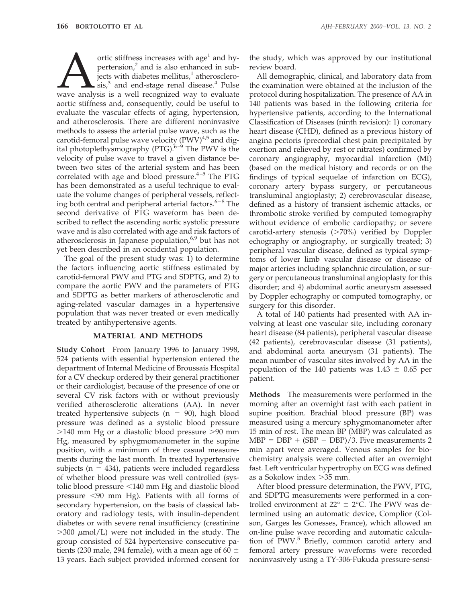ortic stiffness increases with age<sup>1</sup> and hypertension,<sup>2</sup> and is also enhanced in subjects with diabetes mellitus,<sup>1</sup> atherosclerosis,<sup>3</sup> and end-stage renal disease.<sup>4</sup> Pulse wave analysis is a well recognized way to ev pertension,<sup>2</sup> and is also enhanced in sub- $\frac{1}{2}$  jects with diabetes mellitus, $\frac{1}{2}$  atherosclero $sis<sup>3</sup>$  and end-stage renal disease.<sup>4</sup> Pulse aortic stiffness and, consequently, could be useful to evaluate the vascular effects of aging, hypertension, and atherosclerosis. There are different noninvasive methods to assess the arterial pulse wave, such as the carotid-femoral pulse wave velocity  $(PWV)^{4,5}$  and digital photoplethysmography (PTG). $6-9$  The PWV is the velocity of pulse wave to travel a given distance between two sites of the arterial system and has been correlated with age and blood pressure.<sup>4-5</sup> The PTG has been demonstrated as a useful technique to evaluate the volume changes of peripheral vessels, reflecting both central and peripheral arterial factors. $6-8$  The second derivative of PTG waveform has been described to reflect the ascending aortic systolic pressure wave and is also correlated with age and risk factors of atherosclerosis in Japanese population, $6,9$  but has not yet been described in an occidental population.

The goal of the present study was: 1) to determine the factors influencing aortic stiffness estimated by carotid-femoral PWV and PTG and SDPTG, and 2) to compare the aortic PWV and the parameters of PTG and SDPTG as better markers of atherosclerotic and aging-related vascular damages in a hypertensive population that was never treated or even medically treated by antihypertensive agents.

## **MATERIAL AND METHODS**

**Study Cohort** From January 1996 to January 1998, 524 patients with essential hypertension entered the department of Internal Medicine of Broussais Hospital for a CV checkup ordered by their general practitioner or their cardiologist, because of the presence of one or several CV risk factors with or without previously verified atherosclerotic alterations (AA). In never treated hypertensive subjects ( $n = 90$ ), high blood pressure was defined as a systolic blood pressure  $>140$  mm Hg or a diastolic blood pressure  $>90$  mm Hg, measured by sphygmomanometer in the supine position, with a minimum of three casual measurements during the last month. In treated hypertensive subjects ( $n = 434$ ), patients were included regardless of whether blood pressure was well controlled (systolic blood pressure  $\leq 140$  mm Hg and diastolic blood pressure  $<90$  mm Hg). Patients with all forms of secondary hypertension, on the basis of classical laboratory and radiology tests, with insulin-dependent diabetes or with severe renal insufficiency (creatinine  $>$ 300  $\mu$ mol/L) were not included in the study. The group consisted of 524 hypertensive consecutive patients (230 male, 294 female), with a mean age of 60  $\pm$ 13 years. Each subject provided informed consent for

the study, which was approved by our institutional review board.

All demographic, clinical, and laboratory data from the examination were obtained at the inclusion of the protocol during hospitalization. The presence of AA in 140 patients was based in the following criteria for hypertensive patients, according to the International Classification of Diseases (ninth revision): 1) coronary heart disease (CHD), defined as a previous history of angina pectoris (precordial chest pain precipitated by exertion and relieved by rest or nitrates) confirmed by coronary angiography, myocardial infarction (MI) (based on the medical history and records or on the findings of typical sequelae of infarction on ECG), coronary artery bypass surgery, or percutaneous transluminal angioplasty; 2) cerebrovascular disease, defined as a history of transient ischemic attacks, or thrombotic stroke verified by computed tomography without evidence of embolic cardiopathy; or severe carotid-artery stenosis  $(>=70\%)$  verified by Doppler echography or angiography, or surgically treated; 3) peripheral vascular disease, defined as typical symptoms of lower limb vascular disease or disease of major arteries including splanchnic circulation, or surgery or percutaneous transluminal angioplasty for this disorder; and 4) abdominal aortic aneurysm assessed by Doppler echography or computed tomography, or surgery for this disorder.

A total of 140 patients had presented with AA involving at least one vascular site, including coronary heart disease (84 patients), peripheral vascular disease (42 patients), cerebrovascular disease (31 patients), and abdominal aorta aneurysm (31 patients). The mean number of vascular sites involved by AA in the population of the 140 patients was  $1.43 \pm 0.65$  per patient.

**Methods** The measurements were performed in the morning after an overnight fast with each patient in supine position. Brachial blood pressure (BP) was measured using a mercury sphygmomanometer after 15 min of rest. The mean BP (MBP) was calculated as  $MBP = DBP + (SBP - DBP)/3$ . Five measurements 2 min apart were averaged. Venous samples for biochemistry analysis were collected after an overnight fast. Left ventricular hypertrophy on ECG was defined as a Sokolow index "35 mm.

After blood pressure determination, the PWV, PTG, and SDPTG measurements were performed in a controlled environment at  $22^{\circ} \pm 2^{\circ}C$ . The PWV was determined using an automatic device, Complior (Colson, Garges les Gonesses, France), which allowed an on-line pulse wave recording and automatic calculation of PWV.<sup>5</sup> Briefly, common carotid artery and femoral artery pressure waveforms were recorded noninvasively using a TY-306-Fukuda pressure-sensi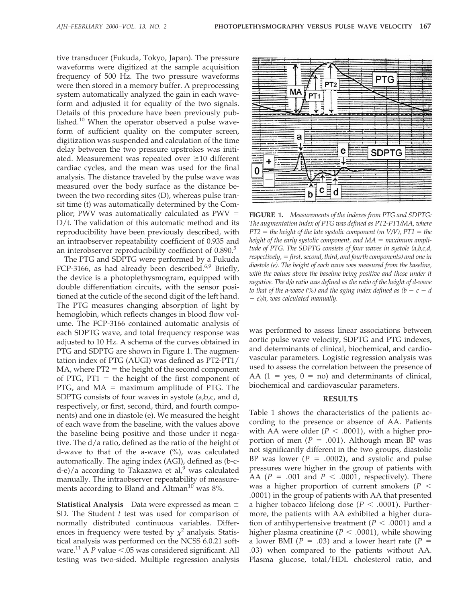tive transducer (Fukuda, Tokyo, Japan). The pressure waveforms were digitized at the sample acquisition frequency of 500 Hz. The two pressure waveforms were then stored in a memory buffer. A preprocessing system automatically analyzed the gain in each waveform and adjusted it for equality of the two signals. Details of this procedure have been previously published.<sup>10</sup> When the operator observed a pulse waveform of sufficient quality on the computer screen, digitization was suspended and calculation of the time delay between the two pressure upstrokes was initiated. Measurement was repeated over  $\geq 10$  different cardiac cycles, and the mean was used for the final analysis. The distance traveled by the pulse wave was measured over the body surface as the distance between the two recording sites (D), whereas pulse transit time (t) was automatically determined by the Complior; PWV was automatically calculated as  $PWV =$ D/t. The validation of this automatic method and its reproducibility have been previously described, with an intraobserver repeatability coefficient of 0.935 and an interobserver reproducibility coefficient of 0.890.<sup>5</sup>

The PTG and SDPTG were performed by a Fukuda FCP-3166, as had already been described.<sup>6,9</sup> Briefly, the device is a photoplethysmogram, equipped with double differentiation circuits, with the sensor positioned at the cuticle of the second digit of the left hand. The PTG measures changing absorption of light by hemoglobin, which reflects changes in blood flow volume. The FCP-3166 contained automatic analysis of each SDPTG wave, and total frequency response was adjusted to 10 Hz. A schema of the curves obtained in PTG and SDPTG are shown in Figure 1. The augmentation index of PTG (AUGI) was defined as PT2-PT1/  $MA$ , where  $PT2 =$  the height of the second component of PTG,  $PT1 =$  the height of the first component of PTG, and  $MA =$  maximum amplitude of PTG. The SDPTG consists of four waves in systole (a,b,c, and d, respectively, or first, second, third, and fourth components) and one in diastole (e). We measured the height of each wave from the baseline, with the values above the baseline being positive and those under it negative. The d/a ratio, defined as the ratio of the height of d-wave to that of the a-wave (%), was calculated automatically. The aging index (AGI), defined as (b-c $d-e$ )/a according to Takazawa et al,<sup>9</sup> was calculated manually. The intraobserver repeatability of measurements according to Bland and Altman<sup>10</sup> was  $8\%$ .

**Statistical Analysis** Data were expressed as mean  $\pm$ SD. The Student *t* test was used for comparison of normally distributed continuous variables. Differences in frequency were tested by  $\chi^2$  analysis. Statistical analysis was performed on the NCSS 6.0.21 software.<sup>11</sup> A *P* value  $\leq$ .05 was considered significant. All testing was two-sided. Multiple regression analysis



**FIGURE 1.** *Measurements of the indexes from PTG and SDPTG: The augmentation index of PTG was defined as PT2-PT1/MA, where*  $PT2 =$  *the height of the late systolic component (m V/V),*  $PT1 =$  *the* height of the early systolic component, and  $MA =$  maximum ampli*tude of PTG. The SDPTG consists of four waves in systole (a,b,c,d, respectively,* ! *first, second, third, and fourth components) and one in diastole (e). The height of each wave was measured from the baseline, with the values above the baseline being positive and those under it negative. The d/a ratio was defined as the ratio of the height of d-wave to that of the a-wave (%) and the aging index defined as*  $(b - c - d)$ & *e)/a, was calculated manually.*

was performed to assess linear associations between aortic pulse wave velocity, SDPTG and PTG indexes, and determinants of clinical, biochemical, and cardiovascular parameters. Logistic regression analysis was used to assess the correlation between the presence of AA  $(1 = yes, 0 = no)$  and determinants of clinical, biochemical and cardiovascular parameters.

# **RESULTS**

Table 1 shows the characteristics of the patients according to the presence or absence of AA. Patients with AA were older ( $P < .0001$ ), with a higher proportion of men  $(P = .001)$ . Although mean BP was not significantly different in the two groups, diastolic BP was lower  $(P = .0002)$ , and systolic and pulse pressures were higher in the group of patients with AA ( $P = .001$  and  $P < .0001$ , respectively). There was a higher proportion of current smokers ( $P \leq$ .0001) in the group of patients with AA that presented a higher tobacco lifelong dose ( $P < .0001$ ). Furthermore, the patients with AA exhibited a higher duration of antihypertensive treatment ( $P < .0001$ ) and a higher plasma creatinine ( $P < .0001$ ), while showing a lower BMI ( $P = .03$ ) and a lower heart rate ( $P =$ .03) when compared to the patients without AA. Plasma glucose, total/HDL cholesterol ratio, and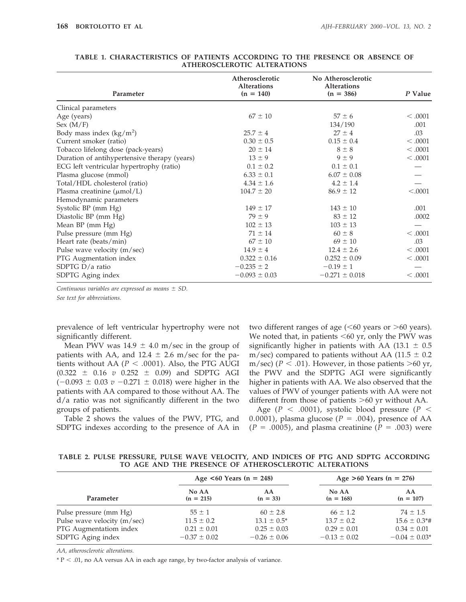| Parameter                                    | Atherosclerotic<br><b>Alterations</b><br>$(n = 140)$ | No Atherosclerotic<br><b>Alterations</b><br>$(n = 386)$ | P Value  |
|----------------------------------------------|------------------------------------------------------|---------------------------------------------------------|----------|
| Clinical parameters                          |                                                      |                                                         |          |
| Age (years)                                  | $67 \pm 10$                                          | $57 \pm 6$                                              | < .0001  |
| Sex (M/F)                                    |                                                      | 134/190                                                 | .001     |
| Body mass index $(kg/m^2)$                   | $25.7 \pm 4$                                         | $27 \pm 4$                                              | .03      |
| Current smoker (ratio)                       | $0.30 \pm 0.5$                                       | $0.15 \pm 0.4$                                          | < 0.0001 |
| Tobacco lifelong dose (pack-years)           | $20 \pm 14$                                          | $8 \pm 8$                                               | < 0.0001 |
| Duration of antihypertensive therapy (years) | $13 \pm 9$                                           | $9 \pm 9$                                               | < 0.0001 |
| ECG left ventricular hypertrophy (ratio)     | $0.1 \pm 0.2$                                        | $0.1 \pm 0.1$                                           |          |
| Plasma glucose (mmol)                        | $6.33 \pm 0.1$                                       | $6.07 \pm 0.08$                                         |          |
| Total/HDL cholesterol (ratio)                | $4.34 \pm 1.6$                                       | $4.2 \pm 1.4$                                           |          |
| Plasma creatinine $(\mu \text{mol/L})$       | $104.7 \pm 20$                                       | $86.9 \pm 12$                                           | < .0001  |
| Hemodynamic parameters                       |                                                      |                                                         |          |
| Systolic BP (mm Hg)                          | $149 \pm 17$                                         | $143 \pm 10$                                            | .001     |
| Diastolic BP (mm Hg)                         | $79 \pm 9$                                           | $83 \pm 12$                                             | .0002    |
| Mean BP (mm Hg)                              | $102 \pm 13$                                         | $103 \pm 13$                                            |          |
| Pulse pressure (mm Hg)                       | $71 \pm 14$                                          | $60 \pm 8$                                              | < 0.001  |
| Heart rate (beats/min)                       | $67 \pm 10$                                          | $69 \pm 10$                                             | .03      |
| Pulse wave velocity (m/sec)                  | $14.9 \pm 4$                                         | $12.4 \pm 2.6$                                          | < 0.0001 |
| PTG Augmentation index                       | $0.322 \pm 0.16$                                     | $0.252 \pm 0.09$                                        | < 0.001  |
| SDPTG D/a ratio                              | $-0.235 \pm 2$                                       | $-0.19 \pm 1$                                           |          |
| SDPTG Aging index                            | $-0.093 \pm 0.03$                                    | $-0.271 \pm 0.018$                                      | < 0.0001 |

#### **TABLE 1. CHARACTERISTICS OF PATIENTS ACCORDING TO THE PRESENCE OR ABSENCE OF ATHEROSCLEROTIC ALTERATIONS**

*Continuous variables are expressed as means*  $\pm$  *SD.* 

*See text for abbreviations.*

prevalence of left ventricular hypertrophy were not significantly different.

Mean PWV was  $14.9 \pm 4.0$  m/sec in the group of patients with AA, and  $12.4 \pm 2.6$  m/sec for the patients without AA ( $P < .0001$ ). Also, the PTG AUGI  $(0.322 \pm 0.16 \, v \, 0.252 \pm 0.09)$  and SDPTG AGI  $(-0.093 \pm 0.03 \ v -0.271 \pm 0.018)$  were higher in the patients with AA compared to those without AA. The d/a ratio was not significantly different in the two groups of patients.

Table 2 shows the values of the PWV, PTG, and SDPTG indexes according to the presence of AA in two different ranges of age  $( $60$  years or  $>$  60 years).$ We noted that, in patients  $\leq 60$  yr, only the PWV was significantly higher in patients with AA (13.1  $\pm$  0.5 m/sec) compared to patients without AA (11.5  $\pm$  0.2 m/sec) ( $P < .01$ ). However, in those patients  $>60$  yr, the PWV and the SDPTG AGI were significantly higher in patients with AA. We also observed that the values of PWV of younger patients with AA were not different from those of patients  $>60$  yr without AA.

Age ( $P < .0001$ ), systolic blood pressure ( $P <$ 0.0001), plasma glucose  $(P = .004)$ , presence of AA  $(P = .0005)$ , and plasma creatinine  $(P = .003)$  were

**TABLE 2. PULSE PRESSURE, PULSE WAVE VELOCITY, AND INDICES OF PTG AND SDPTG ACCORDING TO AGE AND THE PRESENCE OF ATHEROSCLEROTIC ALTERATIONS**

|                                             | Age $<60$ Years (n = 248)           |                                     | Age $>60$ Years (n = 276)           |                                      |
|---------------------------------------------|-------------------------------------|-------------------------------------|-------------------------------------|--------------------------------------|
| Parameter                                   | No AA<br>$(n = 215)$                | AA<br>$(n = 33)$                    | No AA<br>$(n = 168)$                | AA<br>$(n = 107)$                    |
| Pulse pressure (mm Hg)                      | $55 \pm 1$                          | $60 \pm 2.8$                        | $66 \pm 1.2$                        | $74 \pm 1.5$                         |
| Pulse wave velocity (m/sec)                 | $11.5 \pm 0.2$                      | $13.1 \pm 0.5^*$                    | $13.7 \pm 0.2$                      | $15.6 \pm 0.3$ <sup>*</sup> #        |
| PTG Augmentatiom index<br>SDPTG Aging index | $0.21 \pm 0.01$<br>$-0.37 \pm 0.02$ | $0.25 \pm 0.03$<br>$-0.26 \pm 0.06$ | $0.29 \pm 0.01$<br>$-0.13 \pm 0.02$ | $0.34 \pm 0.01$<br>$-0.04 \pm 0.03*$ |

*AA, atherosclerotic alterations.*

 $^{\ast}$  P  $<$  .01, no AA versus AA in each age range, by two-factor analysis of variance.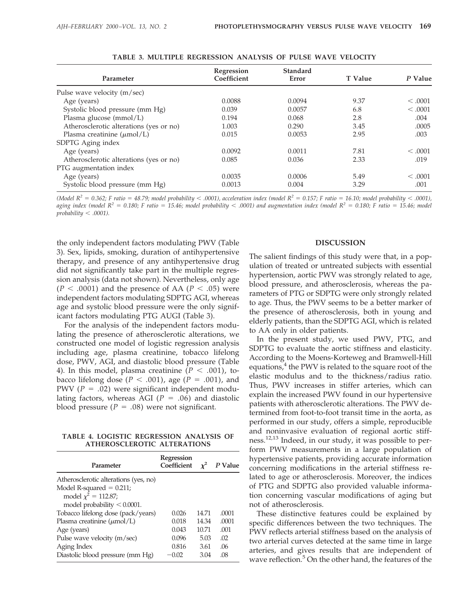|                                         | Regression  | Standard |                |          |
|-----------------------------------------|-------------|----------|----------------|----------|
| Parameter                               | Coefficient | Error    | <b>T</b> Value | P Value  |
| Pulse wave velocity (m/sec)             |             |          |                |          |
| Age (years)                             | 0.0088      | 0.0094   | 9.37           | < 0.0001 |
| Systolic blood pressure (mm Hg)         | 0.039       | 0.0057   | 6.8            | < 0.0001 |
| Plasma glucose (mmol/L)                 | 0.194       | 0.068    | 2.8            | .004     |
| Atherosclerotic alterations (yes or no) | 1.003       | 0.290    | 3.45           | .0005    |
| Plasma creatinine $(\mu \text{mol/L})$  | 0.015       | 0.0053   | 2.95           | .003     |
| SDPTG Aging index                       |             |          |                |          |
| Age (years)                             | 0.0092      | 0.0011   | 7.81           | < 0.0001 |
| Atherosclerotic alterations (yes or no) | 0.085       | 0.036    | 2.33           | .019     |
| PTG augmentation index                  |             |          |                |          |
| Age (years)                             | 0.0035      | 0.0006   | 5.49           | < 0.0001 |
| Systolic blood pressure (mm Hg)         | 0.0013      | 0.004    | 3.29           | .001     |

| TABLE 3. MULTIPLE REGRESSION ANALYSIS OF PULSE WAVE VELOCITY |  |  |  |  |
|--------------------------------------------------------------|--|--|--|--|
|--------------------------------------------------------------|--|--|--|--|

*(Model R<sup>2</sup>* = 0.362; *F* ratio = 48.79; model probability < .0001), acceleration index (model R<sup>2</sup> = 0.157; F ratio = 16.10; model probability < .0001), *aging index (model R<sup>2</sup> = 0.180; F ratio* = 15.46; model probability < .0001) and augmentation index (model R<sup>2</sup> = 0.180; F ratio = 15.46; model *probability* # *.0001).*

the only independent factors modulating PWV (Table 3). Sex, lipids, smoking, duration of antihypertensive therapy, and presence of any antihypertensive drug did not significantly take part in the multiple regression analysis (data not shown). Nevertheless, only age  $(P < .0001)$  and the presence of AA ( $P < .05$ ) were independent factors modulating SDPTG AGI, whereas age and systolic blood pressure were the only significant factors modulating PTG AUGI (Table 3).

For the analysis of the independent factors modulating the presence of atherosclerotic alterations, we constructed one model of logistic regression analysis including age, plasma creatinine, tobacco lifelong dose, PWV, AGI, and diastolic blood pressure (Table 4). In this model, plasma creatinine  $(P < .001)$ , tobacco lifelong dose ( $P < .001$ ), age ( $P = .001$ ), and PWV ( $P = .02$ ) were significant independent modulating factors, whereas AGI ( $P = .06$ ) and diastolic blood pressure  $(P = .08)$  were not significant.

**TABLE 4. LOGISTIC REGRESSION ANALYSIS OF ATHEROSCLEROTIC ALTERATIONS**

| Parameter                              | <b>Regression</b><br>Coefficient | $\mathbf{v}^2$ | P Value |
|----------------------------------------|----------------------------------|----------------|---------|
| Atherosclerotic alterations (yes, no)  |                                  |                |         |
| Model R-squared $= 0.211$ ;            |                                  |                |         |
| model $\chi^2$ = 112.87;               |                                  |                |         |
| model probability $< 0.0001$ .         |                                  |                |         |
| Tobacco lifelong dose (pack/years)     | 0.026                            | 14.71          | .0001   |
| Plasma creatinine $(\mu \text{mol/L})$ | 0.018                            | 14.34          | .0001   |
| Age (years)                            | 0.043                            | 10.71          | .001    |
| Pulse wave velocity (m/sec)            | 0.096                            | 5.03           | .02     |
| Aging Index                            | 0.816                            | 3.61           | .06     |
| Diastolic blood pressure (mm Hg)       | $-0.02$                          | 3.04           | .08     |

## **DISCUSSION**

The salient findings of this study were that, in a population of treated or untreated subjects with essential hypertension, aortic PWV was strongly related to age, blood pressure, and atherosclerosis, whereas the parameters of PTG or SDPTG were only strongly related to age. Thus, the PWV seems to be a better marker of the presence of atherosclerosis, both in young and elderly patients, than the SDPTG AGI, which is related to AA only in older patients.

In the present study, we used PWV, PTG, and SDPTG to evaluate the aortic stiffness and elasticity. According to the Moens-Korteweg and Bramwell-Hill equations, $4$  the PWV is related to the square root of the elastic modulus and to the thickness/radius ratio. Thus, PWV increases in stiffer arteries, which can explain the increased PWV found in our hypertensive patients with atherosclerotic alterations. The PWV determined from foot-to-foot transit time in the aorta, as performed in our study, offers a simple, reproducible and noninvasive evaluation of regional aortic stiffness.<sup>12,13</sup> Indeed, in our study, it was possible to perform PWV measurements in a large population of hypertensive patients, providing accurate information concerning modifications in the arterial stiffness related to age or atherosclerosis. Moreover, the indices of PTG and SDPTG also provided valuable information concerning vascular modifications of aging but not of atherosclerosis.

These distinctive features could be explained by specific differences between the two techniques. The PWV reflects arterial stiffness based on the analysis of two arterial curves detected at the same time in large arteries, and gives results that are independent of wave reflection.<sup>5</sup> On the other hand, the features of the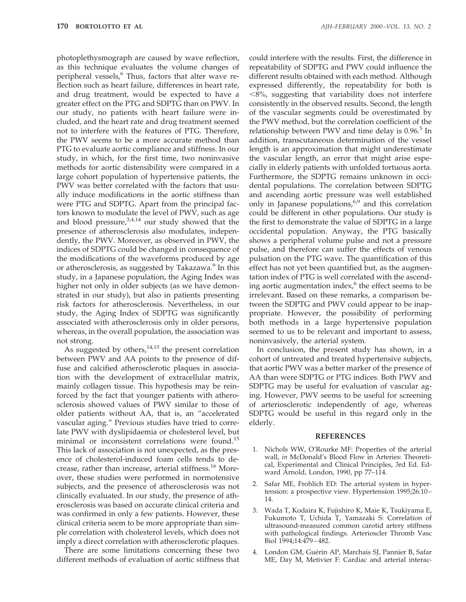photoplethysmograph are caused by wave reflection, as this technique evaluates the volume changes of peripheral vessels, $6$  Thus, factors that alter wave reflection such as heart failure, differences in heart rate, and drug treatment, would be expected to have a greater effect on the PTG and SDPTG than on PWV. In our study, no patients with heart failure were included, and the heart rate and drug treatment seemed not to interfere with the features of PTG. Therefore, the PWV seems to be a more accurate method than PTG to evaluate aortic compliance and stiffness. In our study, in which, for the first time, two noninvasive methods for aortic distensibility were compared in a large cohort population of hypertensive patients, the PWV was better correlated with the factors that usually induce modifications in the aortic stiffness than were PTG and SDPTG. Apart from the principal factors known to modulate the level of PWV, such as age and blood pressure, $3,4,14$  our study showed that the presence of atherosclerosis also modulates, independently, the PWV. Moreover, as observed in PWV, the indices of SDPTG could be changed in consequence of the modifications of the waveforms produced by age or atherosclerosis, as suggested by Takazawa.<sup>9</sup> In this study, in a Japanese population, the Aging Index was higher not only in older subjects (as we have demonstrated in our study), but also in patients presenting risk factors for atherosclerosis. Nevertheless, in our study, the Aging Index of SDPTG was significantly associated with atherosclerosis only in older persons, whereas, in the overall population, the association was not strong.

As suggested by others, $14,15$  the present correlation between PWV and AA points to the presence of diffuse and calcified atherosclerotic plaques in association with the development of extracellular matrix, mainly collagen tissue. This hypothesis may be reinforced by the fact that younger patients with atherosclerosis showed values of PWV similar to those of older patients without AA, that is, an "accelerated vascular aging." Previous studies have tried to correlate PWV with dyslipidaemia or cholesterol level, but minimal or inconsistent correlations were found.<sup>15</sup> This lack of association is not unexpected, as the presence of cholesterol-induced foam cells tends to decrease, rather than increase, arterial stiffness.<sup>16</sup> Moreover, these studies were performed in normotensive subjects, and the presence of atherosclerosis was not clinically evaluated. In our study, the presence of atherosclerosis was based on accurate clinical criteria and was confirmed in only a few patients. However, these clinical criteria seem to be more appropriate than simple correlation with cholesterol levels, which does not imply a direct correlation with atherosclerotic plaques.

There are some limitations concerning these two different methods of evaluation of aortic stiffness that

could interfere with the results. First, the difference in repeatability of SDPTG and PWV could influence the different results obtained with each method. Although expressed differently, the repeatability for both is  $<8\%$ , suggesting that variability does not interfere consistently in the observed results. Second, the length of the vascular segments could be overestimated by the PWV method, but the correlation coefficient of the relationship between PWV and time delay is  $0.96<sup>5</sup>$  In addition, transcutaneous determination of the vessel length is an approximation that might underestimate the vascular length, an error that might arise especially in elderly patients with unfolded tortuous aorta. Furthermore, the SDPTG remains unknown in occidental populations. The correlation between SDPTG and ascending aortic pressure was well established only in Japanese populations,<sup>6,9</sup> and this correlation could be different in other populations. Our study is the first to demonstrate the value of SDPTG in a large occidental population. Anyway, the PTG basically shows a peripheral volume pulse and not a pressure pulse, and therefore can suffer the effects of venous pulsation on the PTG wave. The quantification of this effect has not yet been quantified but, as the augmentation index of PTG is well correlated with the ascending aortic augmentation index, $6$  the effect seems to be irrelevant. Based on these remarks, a comparison between the SDPTG and PWV could appear to be inappropriate. However, the possibility of performing both methods in a large hypertensive population seemed to us to be relevant and important to assess, noninvasively, the arterial system.

In conclusion, the present study has shown, in a cohort of untreated and treated hypertensive subjects, that aortic PWV was a better marker of the presence of AA than were SDPTG or PTG indices. Both PWV and SDPTG may be useful for evaluation of vascular aging. However, PWV seems to be useful for screening of arteriosclerotic independently of age, whereas SDPTG would be useful in this regard only in the elderly.

#### **REFERENCES**

- 1. Nichols WW, O'Rourke MF: Properties of the arterial wall, *in* McDonald's Blood Flow in Arteries: Theoretical, Experimental and Clinical Principles, 3rd Ed. Edward Arnold, London, 1990, pp 77–114.
- 2. Safar ME, Frohlich ED: The arterial system in hypertension: a prospective view. Hypertension 1995;26:10 – 14.
- 3. Wada T, Kodaira K, Fujishiro K, Maie K, Tsukiyama E, Fukumoto T, Uchida T, Yamazaki S: Correlation of ultrasound-measured common carotid artery stiffness with pathological findings. Arterioscler Thromb Vasc Biol 1994;14:479 – 482.
- 4. London GM, Guérin AP, Marchais SJ, Pannier B, Safar ME, Day M, Metivier F: Cardiac and arterial interac-